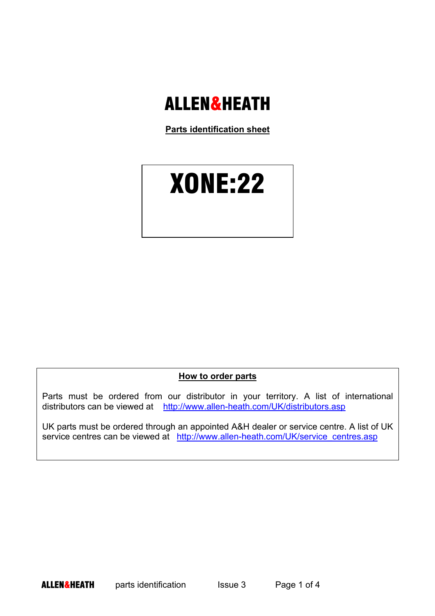# **ALLEN&HEATH**

**Parts identification sheet**

# XONE:22

**How to order parts**

Parts must be ordered from our distributor in your territory. A list of international distributors can be viewed at http://www.allen-heath.com/UK/distributors.asp

UK parts must be ordered through an appointed A&H dealer or service centre. A list of UK service centres can be viewed at http://www.allen-heath.com/UK/service\_centres.asp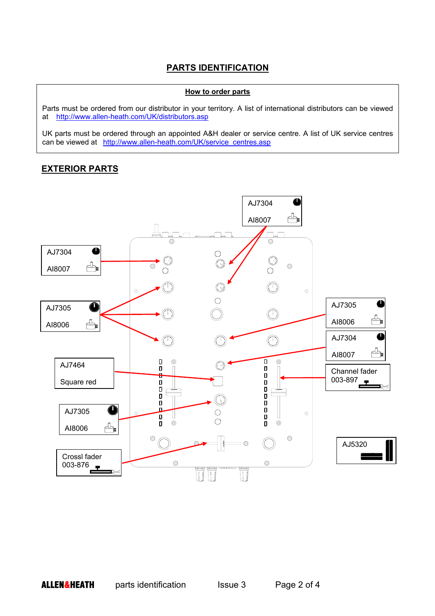#### **PARTS IDENTIFICATION**

#### **How to order parts**

Parts must be ordered from our distributor in your territory. A list of international distributors can be viewed at http://www.allen-heath.com/UK/distributors.asp

UK parts must be ordered through an appointed A&H dealer or service centre. A list of UK service centres can be viewed at http://www.allen-heath.com/UK/service\_centres.asp

#### **EXTERIOR PARTS**

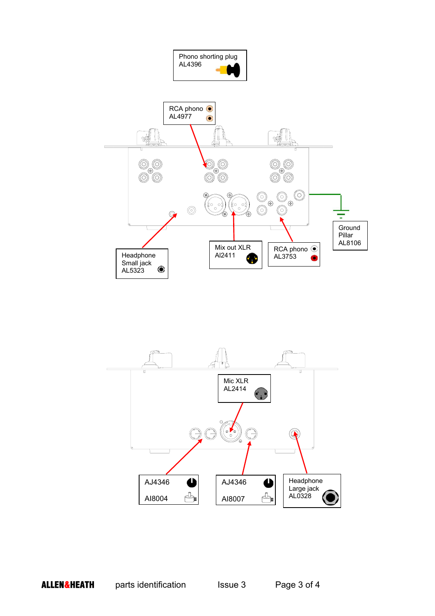

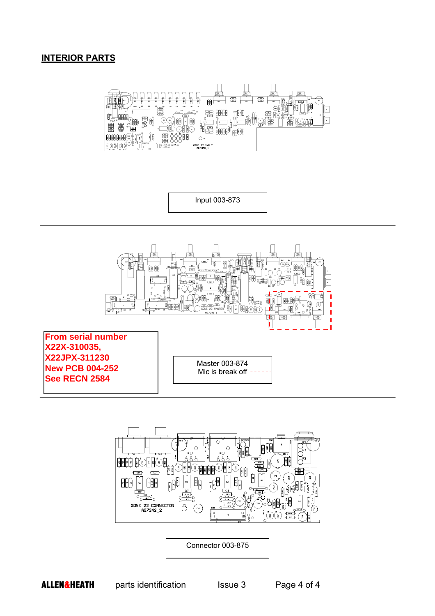#### **INTERIOR PARTS**



Input 003-873





Connector 003-875